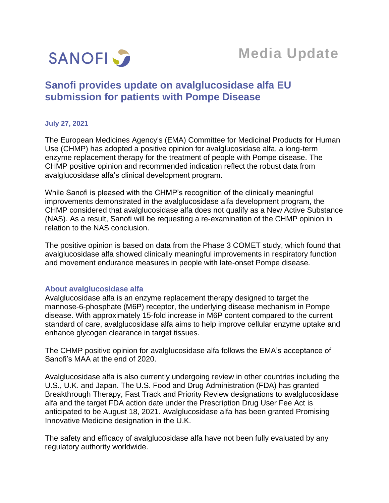

# **Media Update**

# **Sanofi provides update on avalglucosidase alfa EU submission for patients with Pompe Disease**

## **July 27, 2021**

The European Medicines Agency's (EMA) Committee for Medicinal Products for Human Use (CHMP) has adopted a positive opinion for avalglucosidase alfa, a long-term enzyme replacement therapy for the treatment of people with Pompe disease. The CHMP positive opinion and recommended indication reflect the robust data from avalglucosidase alfa's clinical development program.

While Sanofi is pleased with the CHMP's recognition of the clinically meaningful improvements demonstrated in the avalglucosidase alfa development program, the CHMP considered that avalglucosidase alfa does not qualify as a New Active Substance (NAS). As a result, Sanofi will be requesting a re-examination of the CHMP opinion in relation to the NAS conclusion.

The positive opinion is based on data from the Phase 3 COMET study, which found that avalglucosidase alfa showed clinically meaningful improvements in respiratory function and movement endurance measures in people with late-onset Pompe disease.

## **About avalglucosidase alfa**

Avalglucosidase alfa is an enzyme replacement therapy designed to target the mannose-6-phosphate (M6P) receptor, the underlying disease mechanism in Pompe disease. With approximately 15-fold increase in M6P content compared to the current standard of care, avalglucosidase alfa aims to help improve cellular enzyme uptake and enhance glycogen clearance in target tissues.

The CHMP positive opinion for avalglucosidase alfa follows the EMA's acceptance of Sanofi's MAA at the end of 2020.

Avalglucosidase alfa is also currently undergoing review in other countries including the U.S., U.K. and Japan. The U.S. Food and Drug Administration (FDA) has granted Breakthrough Therapy, Fast Track and Priority Review designations to avalglucosidase alfa and the target FDA action date under the Prescription Drug User Fee Act is anticipated to be August 18, 2021. Avalglucosidase alfa has been granted Promising Innovative Medicine designation in the U.K.

The safety and efficacy of avalglucosidase alfa have not been fully evaluated by any regulatory authority worldwide.